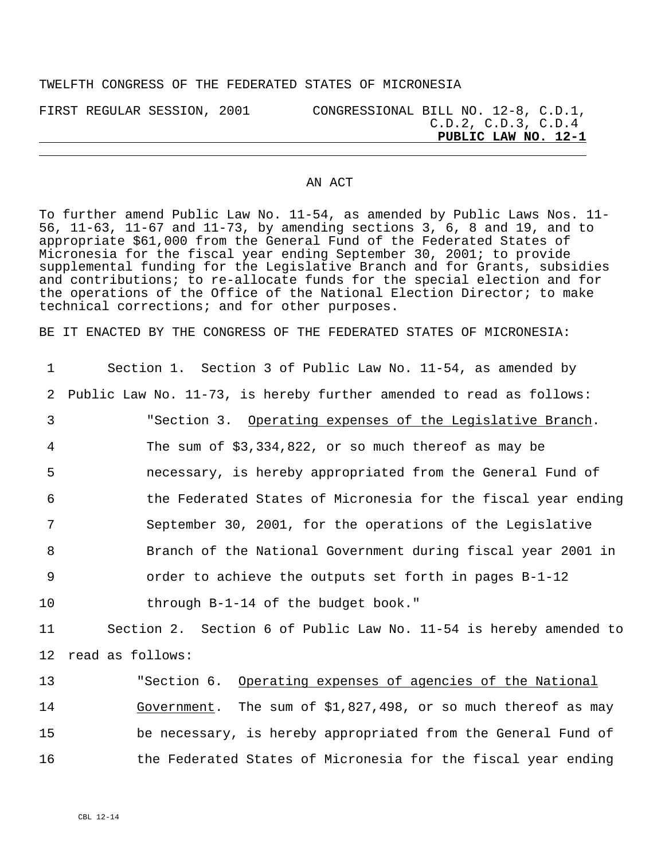## TWELFTH CONGRESS OF THE FEDERATED STATES OF MICRONESIA

FIRST REGULAR SESSION, 2001 CONGRESSIONAL BILL NO. 12-8, C.D.1, C.D.2, C.D.3, C.D.4 **PUBLIC LAW NO. 12-1**

## AN ACT

To further amend Public Law No. 11-54, as amended by Public Laws Nos. 11- 56, 11-63, 11-67 and 11-73, by amending sections 3, 6, 8 and 19, and to appropriate \$61,000 from the General Fund of the Federated States of Micronesia for the fiscal year ending September 30, 2001; to provide supplemental funding for the Legislative Branch and for Grants, subsidies and contributions; to re-allocate funds for the special election and for the operations of the Office of the National Election Director; to make technical corrections; and for other purposes.

BE IT ENACTED BY THE CONGRESS OF THE FEDERATED STATES OF MICRONESIA:

| 1              | Section 1. Section 3 of Public Law No. 11-54, as amended by         |
|----------------|---------------------------------------------------------------------|
| 2              | Public Law No. 11-73, is hereby further amended to read as follows: |
| $\mathfrak{Z}$ | "Section 3. Operating expenses of the Legislative Branch.           |
| 4              | The sum of $$3,334,822$ , or so much thereof as may be              |
| 5              | necessary, is hereby appropriated from the General Fund of          |
| 6              | the Federated States of Micronesia for the fiscal year ending       |
| 7              | September 30, 2001, for the operations of the Legislative           |
| 8              | Branch of the National Government during fiscal year 2001 in        |
| 9              | order to achieve the outputs set forth in pages B-1-12              |
| 10             | through B-1-14 of the budget book."                                 |
| 11             | Section 2. Section 6 of Public Law No. 11-54 is hereby amended to   |
| 12             | read as follows:                                                    |
| 13             | "Section 6. Operating expenses of agencies of the National          |
| 14             | Government. The sum of $$1,827,498$ , or so much thereof as may     |
| 15             | be necessary, is hereby appropriated from the General Fund of       |
| 16             | the Federated States of Micronesia for the fiscal year ending       |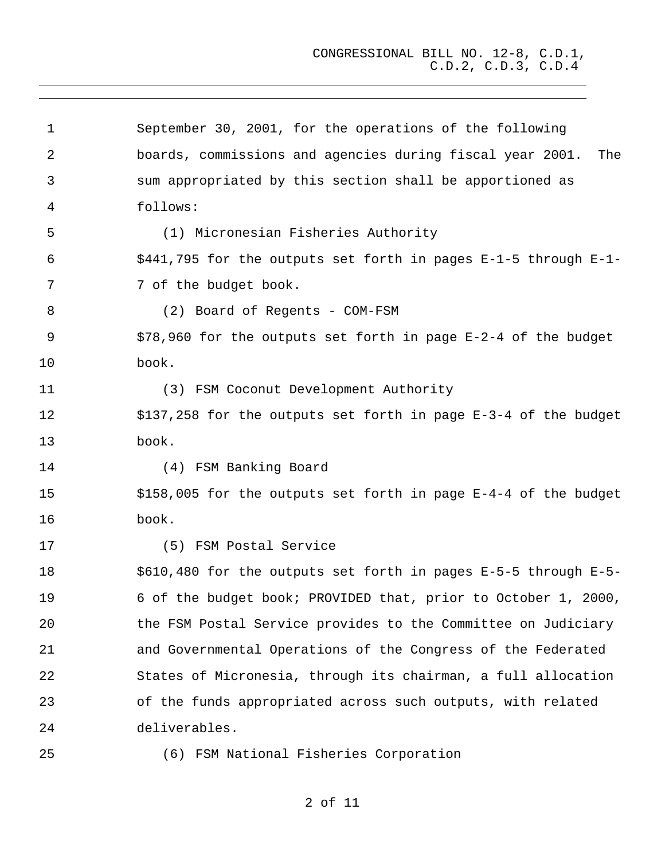1 2 3 4 5 6 7 8 9 10 11 12 13 14 15 16 17 18 19 20 21 22 23 24 25 September 30, 2001, for the operations of the following boards, commissions and agencies during fiscal year 2001. The sum appropriated by this section shall be apportioned as follows: (1) Micronesian Fisheries Authority \$441,795 for the outputs set forth in pages E-1-5 through E-1- 7 of the budget book. (2) Board of Regents - COM-FSM \$78,960 for the outputs set forth in page E-2-4 of the budget book. (3) FSM Coconut Development Authority \$137,258 for the outputs set forth in page E-3-4 of the budget book. (4) FSM Banking Board \$158,005 for the outputs set forth in page E-4-4 of the budget book. (5) FSM Postal Service \$610,480 for the outputs set forth in pages E-5-5 through E-5- 6 of the budget book; PROVIDED that, prior to October 1, 2000, the FSM Postal Service provides to the Committee on Judiciary and Governmental Operations of the Congress of the Federated States of Micronesia, through its chairman, a full allocation of the funds appropriated across such outputs, with related deliverables. (6) FSM National Fisheries Corporation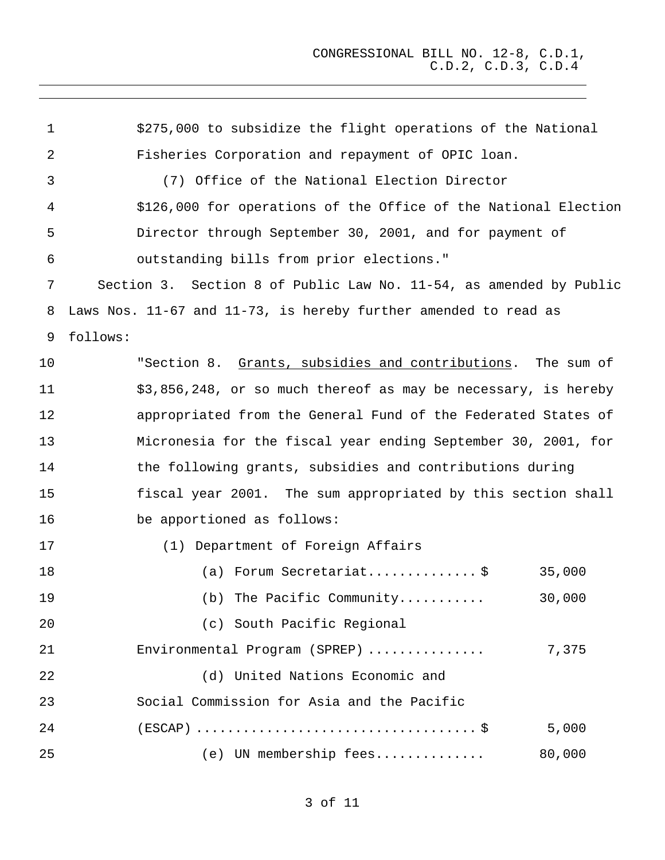1 2 3 4 5 6 7 8 9 \$275,000 to subsidize the flight operations of the National Fisheries Corporation and repayment of OPIC loan. (7) Office of the National Election Director \$126,000 for operations of the Office of the National Election Director through September 30, 2001, and for payment of outstanding bills from prior elections." Section 3. Section 8 of Public Law No. 11-54, as amended by Public Laws Nos. 11-67 and 11-73, is hereby further amended to read as follows: 10 11 12 13 14 15 16 17 18 19 20 21 22 23 24 25 "Section 8. Grants, subsidies and contributions. The sum of \$3,856,248, or so much thereof as may be necessary, is hereby appropriated from the General Fund of the Federated States of Micronesia for the fiscal year ending September 30, 2001, for the following grants, subsidies and contributions during fiscal year 2001. The sum appropriated by this section shall be apportioned as follows: (1) Department of Foreign Affairs (a) Forum Secretariat................  $\zeta$  35,000 (b) The Pacific Community........... 30,000 (c) South Pacific Regional Environmental Program (SPREP) ............... 7,375 (d) United Nations Economic and Social Commission for Asia and the Pacific (ESCAP) .................................... \$ 5,000 (e) UN membership fees.............. 80,000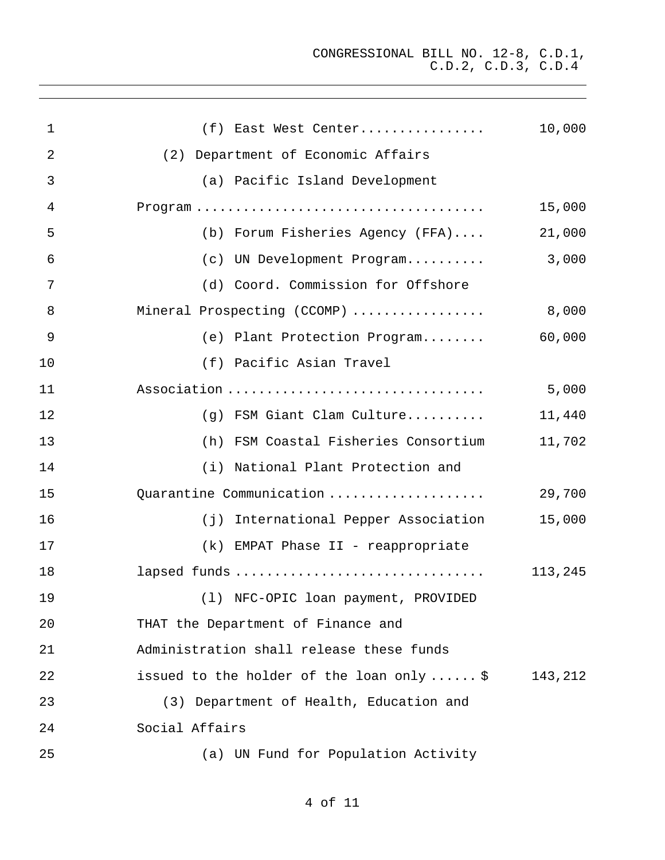| $\mathbf 1$ | (f) East West Center                      | 10,000  |
|-------------|-------------------------------------------|---------|
| 2           | (2) Department of Economic Affairs        |         |
| 3           | (a) Pacific Island Development            |         |
| 4           |                                           | 15,000  |
| 5           | (b) Forum Fisheries Agency (FFA)          | 21,000  |
| 6           | (c) UN Development Program                | 3,000   |
| 7           | (d) Coord. Commission for Offshore        |         |
| 8           | Mineral Prospecting (CCOMP)               | 8,000   |
| $\mathsf 9$ | (e) Plant Protection Program              | 60,000  |
| 10          | (f) Pacific Asian Travel                  |         |
| 11          | Association                               | 5,000   |
| 12          | (g) FSM Giant Clam Culture                | 11,440  |
| 13          | (h) FSM Coastal Fisheries Consortium      | 11,702  |
| 14          | (i) National Plant Protection and         |         |
| 15          | Quarantine Communication                  | 29,700  |
| 16          | (j) International Pepper Association      | 15,000  |
| 17          | (k) EMPAT Phase II - reappropriate        |         |
| 18          | lapsed funds                              | 113,245 |
| 19          | (1) NFC-OPIC loan payment, PROVIDED       |         |
| 20          | THAT the Department of Finance and        |         |
| 21          | Administration shall release these funds  |         |
| 22          | issued to the holder of the loan only  \$ | 143,212 |
| 23          | (3) Department of Health, Education and   |         |
| 24          | Social Affairs                            |         |
| 25          | (a) UN Fund for Population Activity       |         |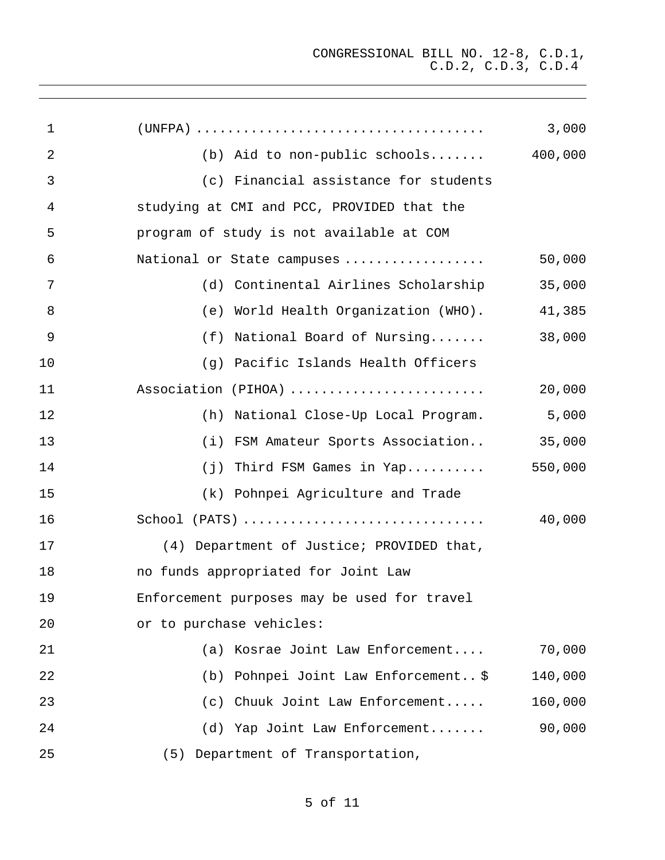| $\mathbf{1}$ |                                             | 3,000   |
|--------------|---------------------------------------------|---------|
| 2            | (b) Aid to non-public schools               | 400,000 |
| 3            | (c) Financial assistance for students       |         |
| 4            | studying at CMI and PCC, PROVIDED that the  |         |
| 5            | program of study is not available at COM    |         |
| 6            | National or State campuses                  | 50,000  |
| 7            | (d) Continental Airlines Scholarship        | 35,000  |
| 8            | (e) World Health Organization (WHO).        | 41,385  |
| 9            | (f) National Board of Nursing               | 38,000  |
| 10           | (g) Pacific Islands Health Officers         |         |
| 11           | Association (PIHOA)                         | 20,000  |
| 12           | (h) National Close-Up Local Program.        | 5,000   |
| 13           | (i) FSM Amateur Sports Association          | 35,000  |
| 14           | (j) Third FSM Games in Yap                  | 550,000 |
| 15           | (k) Pohnpei Agriculture and Trade           |         |
| 16           |                                             | 40,000  |
| 17           | (4) Department of Justice; PROVIDED that,   |         |
| 18           | no funds appropriated for Joint Law         |         |
| 19           | Enforcement purposes may be used for travel |         |
| 20           | or to purchase vehicles:                    |         |
| 21           | Kosrae Joint Law Enforcement<br>(a)         | 70,000  |
| 22           | Pohnpei Joint Law Enforcement \$<br>(b)     | 140,000 |
| 23           | Chuuk Joint Law Enforcement<br>(c)          | 160,000 |
| 24           | (d) Yap Joint Law Enforcement               | 90,000  |
| 25           | Department of Transportation,<br>(5)        |         |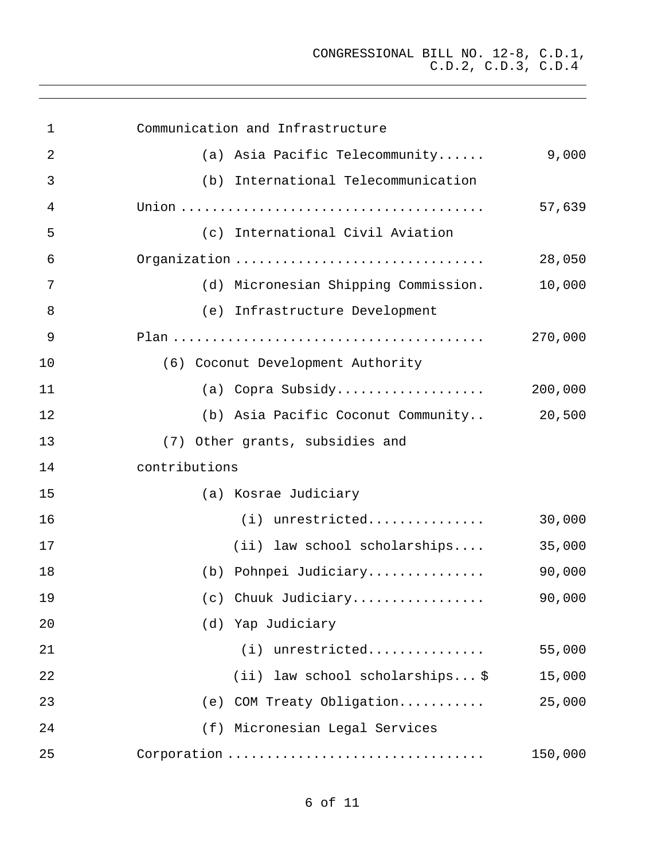| $\mathbf 1$ | Communication and Infrastructure     |         |
|-------------|--------------------------------------|---------|
| 2           | (a) Asia Pacific Telecommunity       | 9,000   |
| 3           | (b) International Telecommunication  |         |
| 4           |                                      | 57,639  |
| 5           | (c) International Civil Aviation     |         |
| 6           | Organization                         | 28,050  |
| 7           | (d) Micronesian Shipping Commission. | 10,000  |
| 8           | (e) Infrastructure Development       |         |
| 9           |                                      | 270,000 |
| 10          | (6) Coconut Development Authority    |         |
| 11          | (a) Copra Subsidy                    | 200,000 |
| 12          | (b) Asia Pacific Coconut Community   | 20,500  |
| 13          | (7) Other grants, subsidies and      |         |
| 14          | contributions                        |         |
| 15          | (a) Kosrae Judiciary                 |         |
| 16          | $(i)$ unrestricted                   | 30,000  |
| 17          | (ii) law school scholarships         | 35,000  |
| 18          | (b) Pohnpei Judiciary                | 90,000  |
| 19          | (c) Chuuk Judiciary                  | 90,000  |
| 20          | (d) Yap Judiciary                    |         |
| 21          | (i) unrestricted                     | 55,000  |
| 22          | (ii) law school scholarships \$      | 15,000  |
| 23          | COM Treaty Obligation<br>(e)         | 25,000  |
| 24          | Micronesian Legal Services<br>(f)    |         |
| 25          | Corporation                          | 150,000 |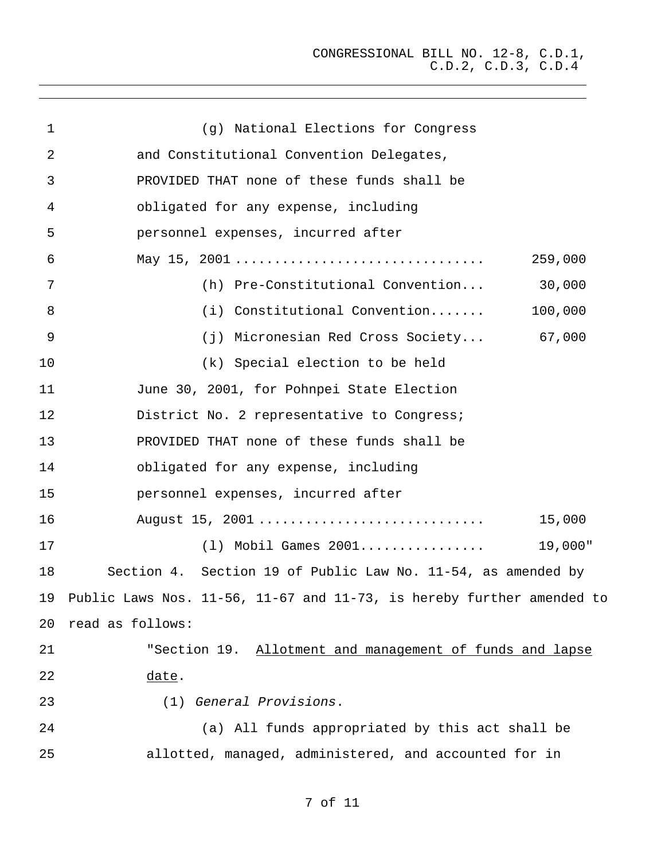| $\mathbf{1}$    | (g) National Elections for Congress                                   |
|-----------------|-----------------------------------------------------------------------|
| 2               | and Constitutional Convention Delegates,                              |
| 3               | PROVIDED THAT none of these funds shall be                            |
| 4               | obligated for any expense, including                                  |
| 5               | personnel expenses, incurred after                                    |
| 6               | 259,000                                                               |
| 7               | (h) Pre-Constitutional Convention<br>30,000                           |
| 8               | (i) Constitutional Convention<br>100,000                              |
| 9               | (j) Micronesian Red Cross Society 67,000                              |
| 10              | (k) Special election to be held                                       |
| 11              | June 30, 2001, for Pohnpei State Election                             |
| 12              | District No. 2 representative to Congress;                            |
| 13              | PROVIDED THAT none of these funds shall be                            |
| 14              | obligated for any expense, including                                  |
| 15              | personnel expenses, incurred after                                    |
| 16              | August 15, 2001<br>15,000                                             |
| 17              | $(1)$ Mobil Games $2001$<br>19,000"                                   |
| 18              | Section 4. Section 19 of Public Law No. 11-54, as amended by          |
| 19              | Public Laws Nos. 11-56, 11-67 and 11-73, is hereby further amended to |
| 20 <sub>o</sub> | read as follows:                                                      |
| 21              | "Section 19. Allotment and management of funds and lapse              |
| 22              | date.                                                                 |
| 23              | (1) General Provisions.                                               |
| 24              | (a) All funds appropriated by this act shall be                       |
| 25              | allotted, managed, administered, and accounted for in                 |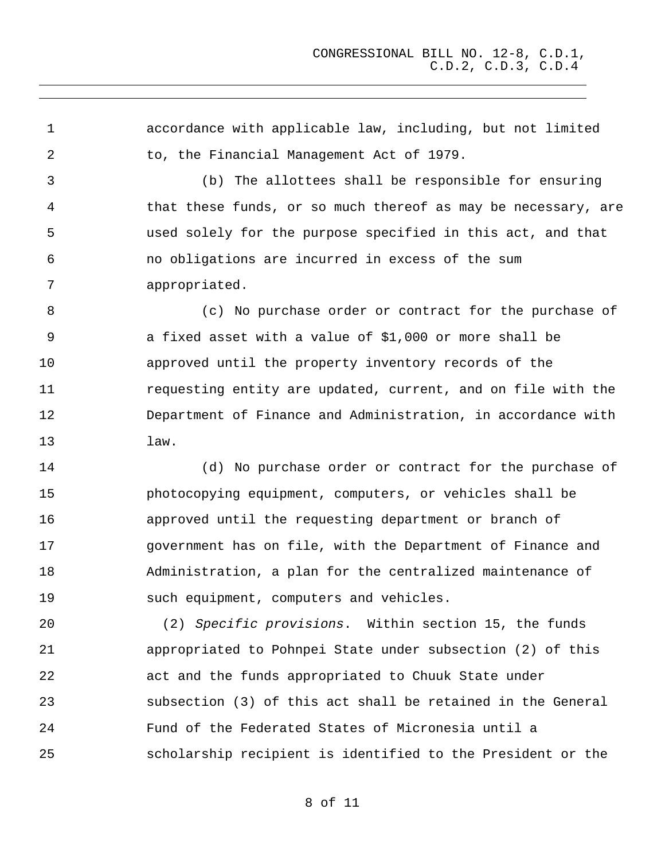1 2 accordance with applicable law, including, but not limited to, the Financial Management Act of 1979.

3 4 5 6 7 (b) The allottees shall be responsible for ensuring that these funds, or so much thereof as may be necessary, are used solely for the purpose specified in this act, and that no obligations are incurred in excess of the sum appropriated.

8 9 10 11 12 13 (c) No purchase order or contract for the purchase of a fixed asset with a value of \$1,000 or more shall be approved until the property inventory records of the requesting entity are updated, current, and on file with the Department of Finance and Administration, in accordance with law.

14 15 16 17 18 19 (d) No purchase order or contract for the purchase of photocopying equipment, computers, or vehicles shall be approved until the requesting department or branch of government has on file, with the Department of Finance and Administration, a plan for the centralized maintenance of such equipment, computers and vehicles.

20 21 22 23 24 25 (2) Specific provisions. Within section 15, the funds appropriated to Pohnpei State under subsection (2) of this act and the funds appropriated to Chuuk State under subsection (3) of this act shall be retained in the General Fund of the Federated States of Micronesia until a scholarship recipient is identified to the President or the

8 of 11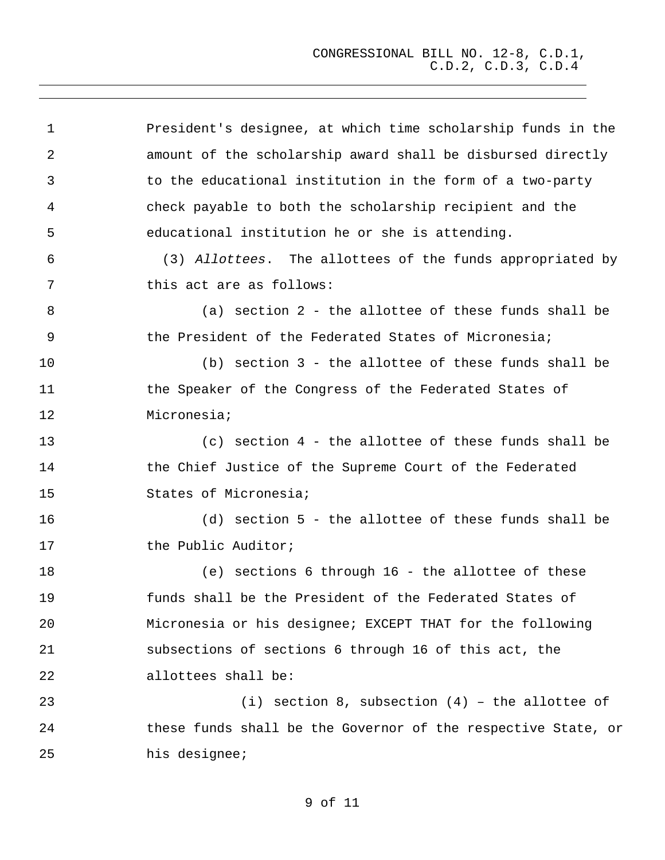| 1  | President's designee, at which time scholarship funds in the  |
|----|---------------------------------------------------------------|
| 2  | amount of the scholarship award shall be disbursed directly   |
| 3  | to the educational institution in the form of a two-party     |
| 4  | check payable to both the scholarship recipient and the       |
| 5  | educational institution he or she is attending.               |
| 6  | (3) Allottees. The allottees of the funds appropriated by     |
| 7  | this act are as follows:                                      |
| 8  | (a) section 2 - the allottee of these funds shall be          |
| 9  | the President of the Federated States of Micronesia;          |
| 10 | (b) section 3 - the allottee of these funds shall be          |
| 11 | the Speaker of the Congress of the Federated States of        |
| 12 | Micronesia;                                                   |
| 13 | $(c)$ section $4$ - the allottee of these funds shall be      |
| 14 | the Chief Justice of the Supreme Court of the Federated       |
| 15 | States of Micronesia;                                         |
| 16 | (d) section 5 - the allottee of these funds shall be          |
| 17 | the Public Auditor;                                           |
| 18 | (e) sections 6 through 16 - the allottee of these             |
| 19 | funds shall be the President of the Federated States of       |
| 20 | Micronesia or his designee; EXCEPT THAT for the following     |
| 21 | subsections of sections 6 through 16 of this act, the         |
| 22 | allottees shall be:                                           |
| 23 | (i) section 8, subsection $(4)$ - the allottee of             |
| 24 | these funds shall be the Governor of the respective State, or |
| 25 | his designee;                                                 |

9 of 11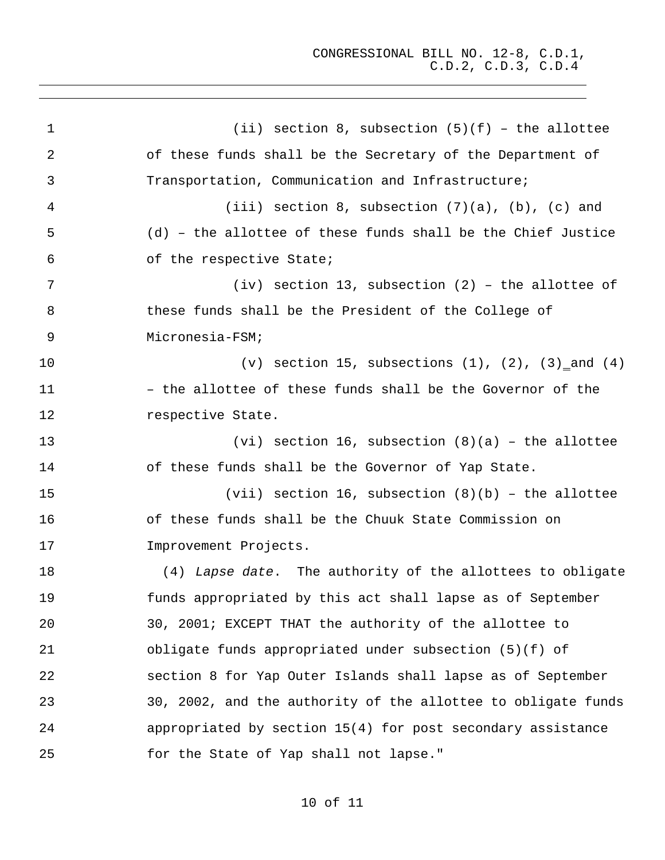1 2 3 4 5 6 7 8 9 (ii) section 8, subsection  $(5)(f)$  - the allottee of these funds shall be the Secretary of the Department of Transportation, Communication and Infrastructure; (iii) section 8, subsection  $(7)(a)$ ,  $(b)$ ,  $(c)$  and (d) – the allottee of these funds shall be the Chief Justice of the respective State; (iv) section 13, subsection (2) – the allottee of these funds shall be the President of the College of Micronesia-FSM; 10 11 12 13 14 15 16 17 18 19 20 21 22 23 24 25  $(v)$  section 15, subsections  $(1)$ ,  $(2)$ ,  $(3)$  and  $(4)$ – the allottee of these funds shall be the Governor of the respective State. (vi) section 16, subsection  $(8)(a)$  - the allottee of these funds shall be the Governor of Yap State. (vii) section 16, subsection  $(8)(b)$  - the allottee of these funds shall be the Chuuk State Commission on Improvement Projects. (4) Lapse date. The authority of the allottees to obligate funds appropriated by this act shall lapse as of September 30, 2001; EXCEPT THAT the authority of the allottee to obligate funds appropriated under subsection (5)(f) of section 8 for Yap Outer Islands shall lapse as of September 30, 2002, and the authority of the allottee to obligate funds appropriated by section 15(4) for post secondary assistance for the State of Yap shall not lapse."

## 10 of 11